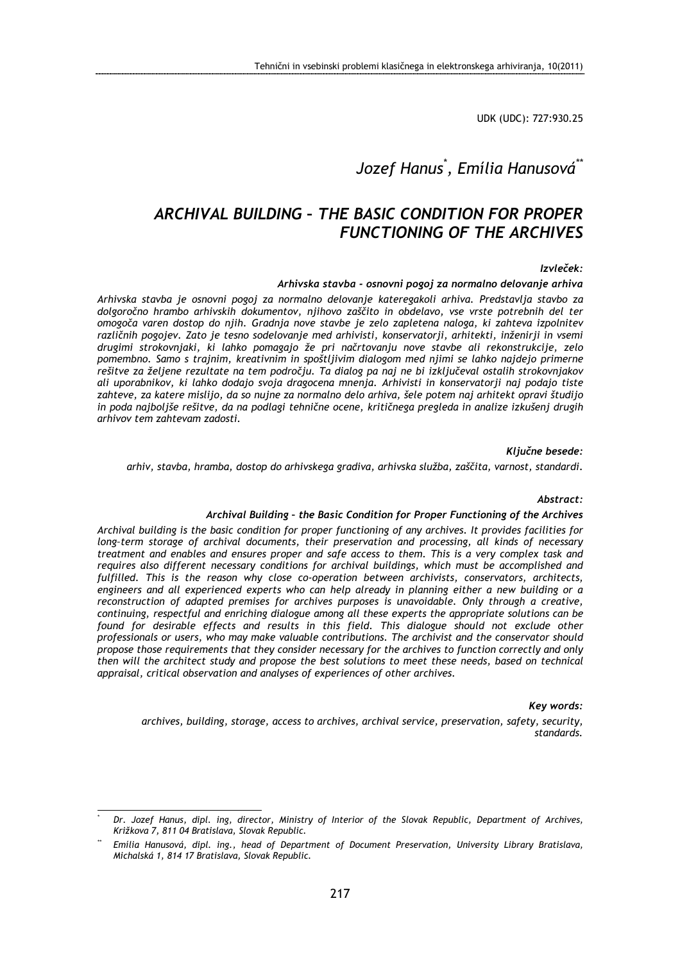UDK (UDC): 727:930.25

# Jozef Hanus\* , Emília Hanusová\*\*

# ARCHIVAL BUILDING – THE BASIC CONDITION FOR PROPER FUNCTIONING OF THE ARCHIVES

#### Izvleček:

#### Arhivska stavba - osnovni pogoj za normalno delovanje arhiva

Arhivska stavba je osnovni pogoj za normalno delovanje kateregakoli arhiva. Predstavlja stavbo za dolgoročno hrambo arhivskih dokumentov, njihovo zaščito in obdelavo, vse vrste potrebnih del ter omogoča varen dostop do njih. Gradnja nove stavbe je zelo zapletena naloga, ki zahteva izpolnitev različnih pogojev. Zato je tesno sodelovanje med arhivisti, konservatorji, arhitekti, inženirji in vsemi drugimi strokovnjaki, ki lahko pomagajo že pri načrtovanju nove stavbe ali rekonstrukcije, zelo pomembno. Samo s trajnim, kreativnim in spoštljivim dialogom med njimi se lahko najdejo primerne rešitve za željene rezultate na tem področju. Ta dialog pa naj ne bi izključeval ostalih strokovnjakov ali uporabnikov, ki lahko dodajo svoja dragocena mnenja. Arhivisti in konservatorji naj podajo tiste zahteve, za katere mislijo, da so nujne za normalno delo arhiva, šele potem naj arhitekt opravi študijo in poda najboljše rešitve, da na podlagi tehnične ocene, kritičnega pregleda in analize izkušenj drugih arhivov tem zahtevam zadosti.

#### Ključne besede:

#### arhiv, stavba, hramba, dostop do arhivskega gradiva, arhivska služba, zaščita, varnost, standardi.

#### Abstract:

#### Archival Building – the Basic Condition for Proper Functioning of the Archives

Archival building is the basic condition for proper functioning of any archives. It provides facilities for long–term storage of archival documents, their preservation and processing, all kinds of necessary treatment and enables and ensures proper and safe access to them. This is a very complex task and requires also different necessary conditions for archival buildings, which must be accomplished and fulfilled. This is the reason why close co-operation between archivists, conservators, architects, engineers and all experienced experts who can help already in planning either a new building or a reconstruction of adapted premises for archives purposes is unavoidable. Only through a creative, continuing, respectful and enriching dialogue among all these experts the appropriate solutions can be found for desirable effects and results in this field. This dialogue should not exclude other professionals or users, who may make valuable contributions. The archivist and the conservator should propose those requirements that they consider necessary for the archives to function correctly and only then will the architect study and propose the best solutions to meet these needs, based on technical appraisal, critical observation and analyses of experiences of other archives.

#### Key words:

archives, building, storage, access to archives, archival service, preservation, safety, security, standards.

<sup>\*</sup> Dr. Jozef Hanus, dipl. ing, director, Ministry of Interior of the Slovak Republic, Department of Archives, Križkova 7, 811 04 Bratislava, Slovak Republic.

Emília Hanusová, dipl. ing., head of Department of Document Preservation, University Library Bratislava, Michalská 1, 814 17 Bratislava, Slovak Republic.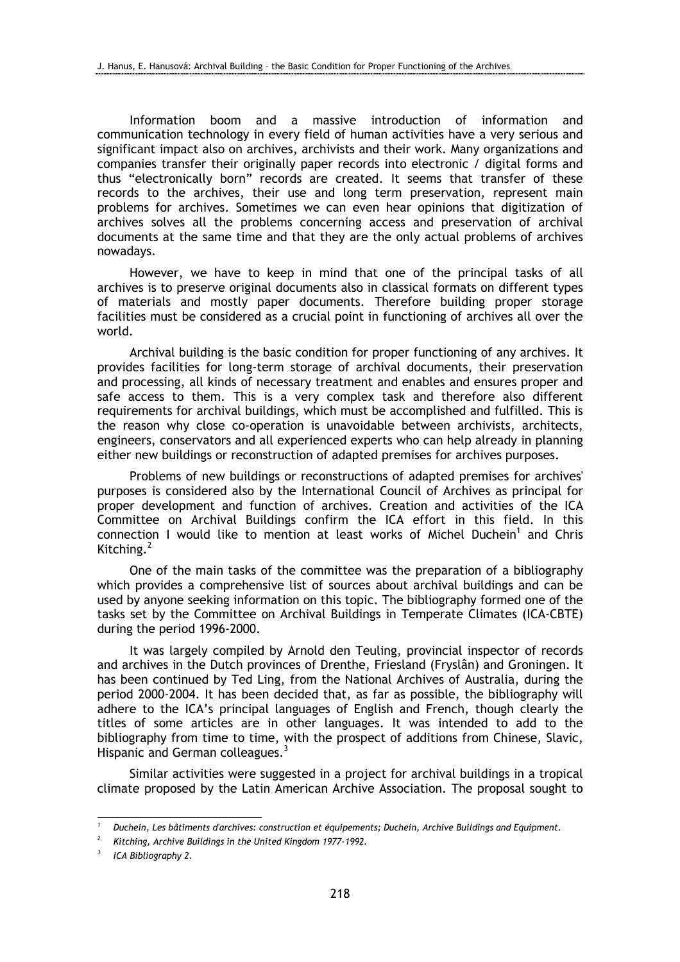Information boom and a massive introduction of information and communication technology in every field of human activities have a very serious and significant impact also on archives, archivists and their work. Many organizations and companies transfer their originally paper records into electronic / digital forms and thus "electronically born" records are created. It seems that transfer of these records to the archives, their use and long term preservation, represent main problems for archives. Sometimes we can even hear opinions that digitization of archives solves all the problems concerning access and preservation of archival documents at the same time and that they are the only actual problems of archives nowadays.

However, we have to keep in mind that one of the principal tasks of all archives is to preserve original documents also in classical formats on different types of materials and mostly paper documents. Therefore building proper storage facilities must be considered as a crucial point in functioning of archives all over the world.

Archival building is the basic condition for proper functioning of any archives. It provides facilities for long-term storage of archival documents, their preservation and processing, all kinds of necessary treatment and enables and ensures proper and safe access to them. This is a very complex task and therefore also different requirements for archival buildings, which must be accomplished and fulfilled. This is the reason why close co-operation is unavoidable between archivists, architects, engineers, conservators and all experienced experts who can help already in planning either new buildings or reconstruction of adapted premises for archives purposes.

Problems of new buildings or reconstructions of adapted premises for archives' purposes is considered also by the International Council of Archives as principal for proper development and function of archives. Creation and activities of the ICA Committee on Archival Buildings confirm the ICA effort in this field. In this connection I would like to mention at least works of Michel Duchein<sup>1</sup> and Chris Kitching.<sup>2</sup>

One of the main tasks of the committee was the preparation of a bibliography which provides a comprehensive list of sources about archival buildings and can be used by anyone seeking information on this topic. The bibliography formed one of the tasks set by the Committee on Archival Buildings in Temperate Climates (ICA-CBTE) during the period 1996-2000.

It was largely compiled by Arnold den Teuling, provincial inspector of records and archives in the Dutch provinces of Drenthe, Friesland (Fryslân) and Groningen. It has been continued by Ted Ling, from the National Archives of Australia, during the period 2000-2004. It has been decided that, as far as possible, the bibliography will adhere to the ICA's principal languages of English and French, though clearly the titles of some articles are in other languages. It was intended to add to the bibliography from time to time, with the prospect of additions from Chinese, Slavic, Hispanic and German colleagues.<sup>3</sup>

Similar activities were suggested in a project for archival buildings in a tropical climate proposed by the Latin American Archive Association. The proposal sought to

 $\overline{a}$ 

<sup>1</sup> Duchein, Les bâtiments d'archives: construction et équipements; Duchein, Archive Buildings and Equipment.

<sup>2</sup> Kitching, Archive Buildings in the United Kingdom 1977-1992.

<sup>3</sup> ICA Bibliography 2.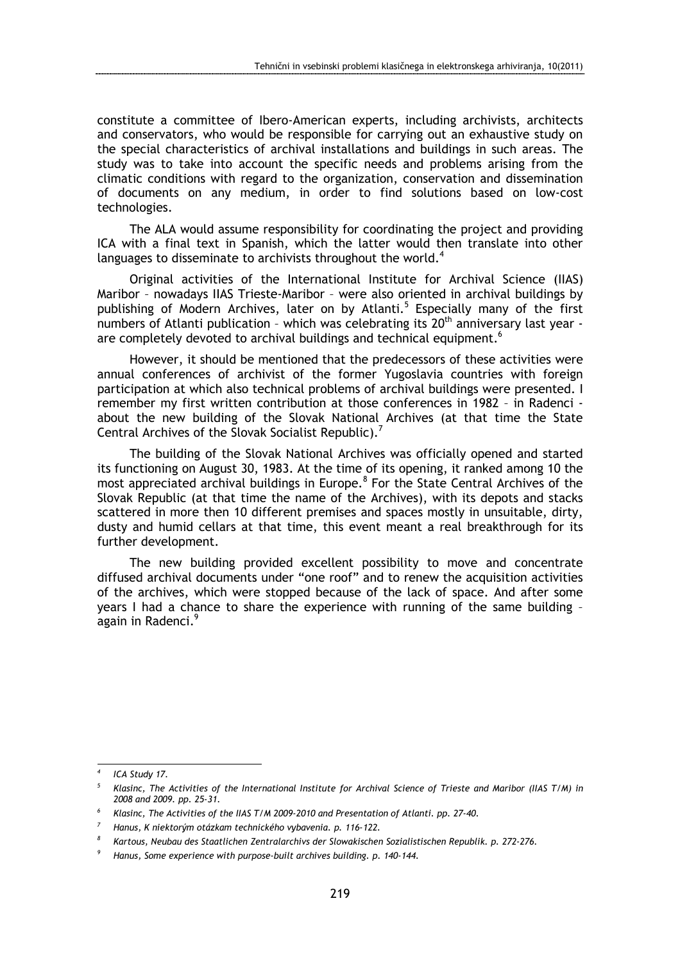constitute a committee of Ibero-American experts, including archivists, architects and conservators, who would be responsible for carrying out an exhaustive study on the special characteristics of archival installations and buildings in such areas. The study was to take into account the specific needs and problems arising from the climatic conditions with regard to the organization, conservation and dissemination of documents on any medium, in order to find solutions based on low-cost technologies.

The ALA would assume responsibility for coordinating the project and providing ICA with a final text in Spanish, which the latter would then translate into other languages to disseminate to archivists throughout the world.<sup>4</sup>

Original activities of the International Institute for Archival Science (IIAS) Maribor – nowadays IIAS Trieste-Maribor – were also oriented in archival buildings by publishing of Modern Archives, later on by Atlanti.<sup>5</sup> Especially many of the first numbers of Atlanti publication - which was celebrating its  $20<sup>th</sup>$  anniversary last year are completely devoted to archival buildings and technical equipment.<sup>6</sup>

However, it should be mentioned that the predecessors of these activities were annual conferences of archivist of the former Yugoslavia countries with foreign participation at which also technical problems of archival buildings were presented. I remember my first written contribution at those conferences in 1982 – in Radenci about the new building of the Slovak National Archives (at that time the State Central Archives of the Slovak Socialist Republic).<sup>7</sup>

The building of the Slovak National Archives was officially opened and started its functioning on August 30, 1983. At the time of its opening, it ranked among 10 the most appreciated archival buildings in Europe.<sup>8</sup> For the State Central Archives of the Slovak Republic (at that time the name of the Archives), with its depots and stacks scattered in more then 10 different premises and spaces mostly in unsuitable, dirty, dusty and humid cellars at that time, this event meant a real breakthrough for its further development.

The new building provided excellent possibility to move and concentrate diffused archival documents under "one roof" and to renew the acquisition activities of the archives, which were stopped because of the lack of space. And after some years I had a chance to share the experience with running of the same building – again in Radenci.<sup>9</sup>

 $\overline{a}$ 

<sup>4</sup> ICA Study 17.

<sup>5</sup> Klasinc, The Activities of the International Institute for Archival Science of Trieste and Maribor (IIAS T/M) in 2008 and 2009. pp. 25-31.

<sup>6</sup> Klasinc, The Activities of the IIAS T/M 2009-2010 and Presentation of Atlanti. pp. 27-40.

<sup>7</sup> Hanus, K niektorým otázkam technického vybavenia. p. 116-122.

<sup>8</sup> Kartous, Neubau des Staatlichen Zentralarchivs der Slowakischen Sozialistischen Republik. p. 272-276.

<sup>9</sup> Hanus, Some experience with purpose-built archives building. p. 140-144.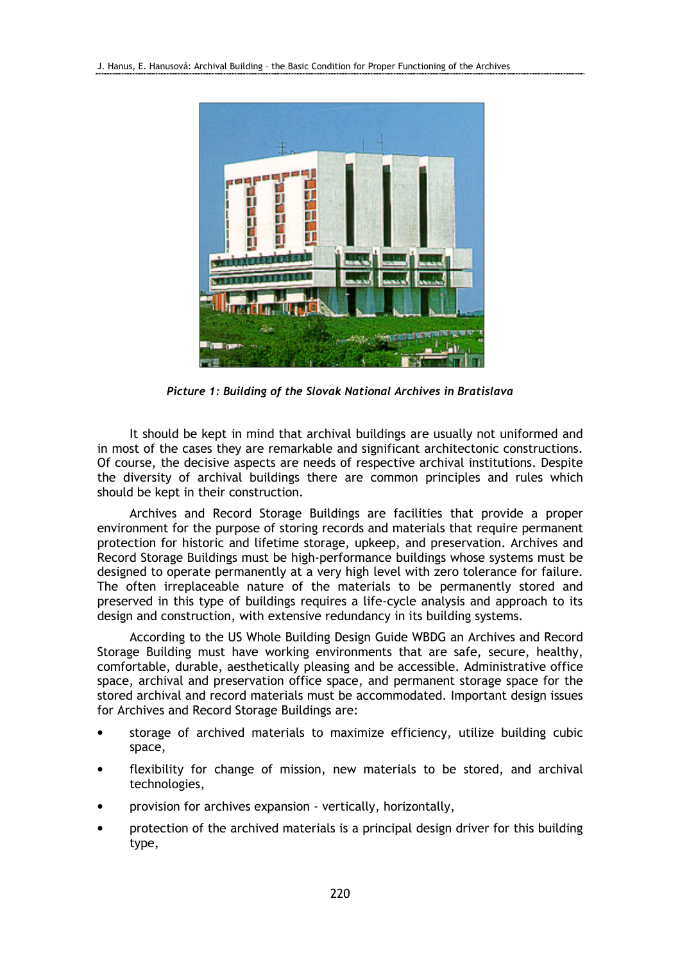

Picture 1: Building of the Slovak National Archives in Bratislava

It should be kept in mind that archival buildings are usually not uniformed and in most of the cases they are remarkable and significant architectonic constructions. Of course, the decisive aspects are needs of respective archival institutions. Despite the diversity of archival buildings there are common principles and rules which should be kept in their construction.

Archives and Record Storage Buildings are facilities that provide a proper environment for the purpose of storing records and materials that require permanent protection for historic and lifetime storage, upkeep, and preservation. Archives and Record Storage Buildings must be high-performance buildings whose systems must be designed to operate permanently at a very high level with zero tolerance for failure. The often irreplaceable nature of the materials to be permanently stored and preserved in this type of buildings requires a life-cycle analysis and approach to its design and construction, with extensive redundancy in its building systems.

According to the US Whole Building Design Guide WBDG an Archives and Record Storage Building must have working environments that are safe, secure, healthy, comfortable, durable, aesthetically pleasing and be accessible. Administrative office space, archival and preservation office space, and permanent storage space for the stored archival and record materials must be accommodated. Important design issues for Archives and Record Storage Buildings are:

- storage of archived materials to maximize efficiency, utilize building cubic space,
- flexibility for change of mission, new materials to be stored, and archival technologies,
- provision for archives expansion vertically, horizontally,
- protection of the archived materials is a principal design driver for this building type,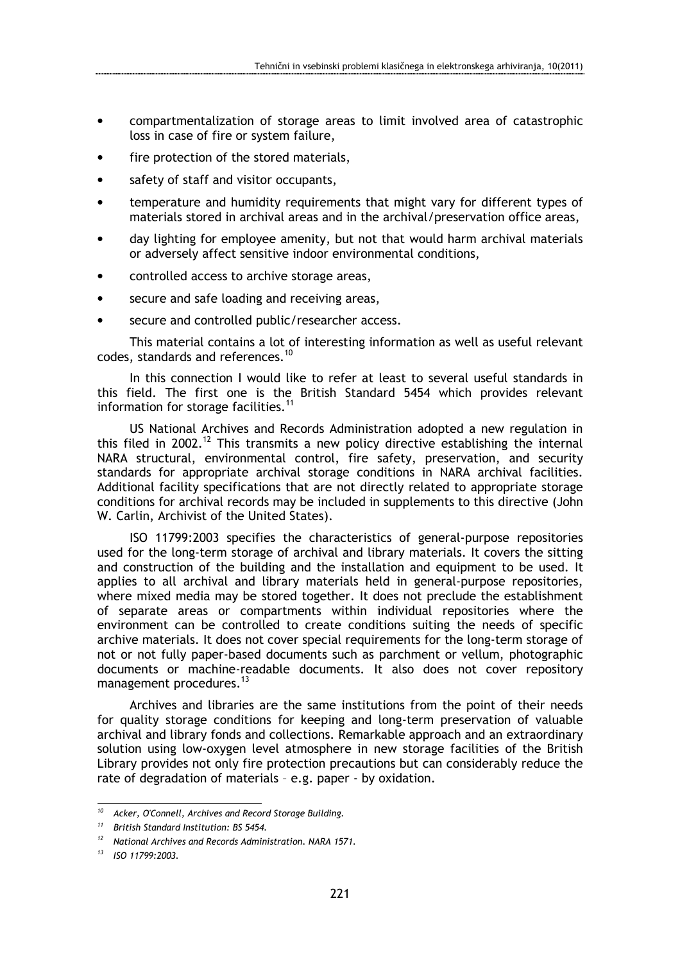- compartmentalization of storage areas to limit involved area of catastrophic loss in case of fire or system failure,
- fire protection of the stored materials,
- safety of staff and visitor occupants,
- temperature and humidity requirements that might vary for different types of materials stored in archival areas and in the archival/preservation office areas,
- day lighting for employee amenity, but not that would harm archival materials or adversely affect sensitive indoor environmental conditions,
- controlled access to archive storage areas,
- secure and safe loading and receiving areas,
- secure and controlled public/researcher access.

This material contains a lot of interesting information as well as useful relevant codes, standards and references.<sup>10</sup>

In this connection I would like to refer at least to several useful standards in this field. The first one is the British Standard 5454 which provides relevant information for storage facilities.<sup>11</sup>

US National Archives and Records Administration adopted a new regulation in this filed in 2002.<sup>12</sup> This transmits a new policy directive establishing the internal NARA structural, environmental control, fire safety, preservation, and security standards for appropriate archival storage conditions in NARA archival facilities. Additional facility specifications that are not directly related to appropriate storage conditions for archival records may be included in supplements to this directive (John W. Carlin, Archivist of the United States).

ISO 11799:2003 specifies the characteristics of general-purpose repositories used for the long-term storage of archival and library materials. It covers the sitting and construction of the building and the installation and equipment to be used. It applies to all archival and library materials held in general-purpose repositories, where mixed media may be stored together. It does not preclude the establishment of separate areas or compartments within individual repositories where the environment can be controlled to create conditions suiting the needs of specific archive materials. It does not cover special requirements for the long-term storage of not or not fully paper-based documents such as parchment or vellum, photographic documents or machine-readable documents. It also does not cover repository management procedures.<sup>13</sup>

Archives and libraries are the same institutions from the point of their needs for quality storage conditions for keeping and long-term preservation of valuable archival and library fonds and collections. Remarkable approach and an extraordinary solution using low-oxygen level atmosphere in new storage facilities of the British Library provides not only fire protection precautions but can considerably reduce the rate of degradation of materials – e.g. paper - by oxidation.

<sup>10</sup> Acker, O'Connell, Archives and Record Storage Building.

<sup>&</sup>lt;sup>11</sup> British Standard Institution: BS 5454.

 $12$  National Archives and Records Administration. NARA 1571.

<sup>13</sup> ISO 11799:2003.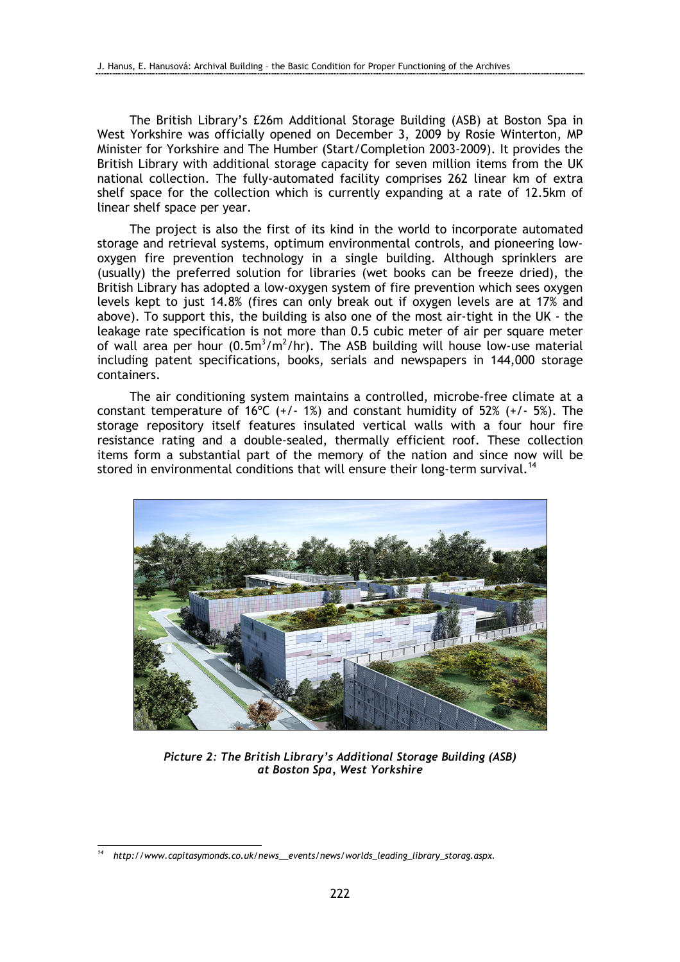The British Library's £26m Additional Storage Building (ASB) at Boston Spa in West Yorkshire was officially opened on December 3, 2009 by Rosie Winterton, MP Minister for Yorkshire and The Humber (Start/Completion 2003-2009). It provides the British Library with additional storage capacity for seven million items from the UK national collection. The fully-automated facility comprises 262 linear km of extra shelf space for the collection which is currently expanding at a rate of 12.5km of linear shelf space per year.

The project is also the first of its kind in the world to incorporate automated storage and retrieval systems, optimum environmental controls, and pioneering lowoxygen fire prevention technology in a single building. Although sprinklers are (usually) the preferred solution for libraries (wet books can be freeze dried), the British Library has adopted a low-oxygen system of fire prevention which sees oxygen levels kept to just 14.8% (fires can only break out if oxygen levels are at 17% and above). To support this, the building is also one of the most air-tight in the UK - the leakage rate specification is not more than 0.5 cubic meter of air per square meter of wall area per hour  $(0.5m^3/m^2/hr)$ . The ASB building will house low-use material including patent specifications, books, serials and newspapers in 144,000 storage containers.

The air conditioning system maintains a controlled, microbe-free climate at a constant temperature of 16°C  $(+/- 1%)$  and constant humidity of 52%  $(+/- 5%)$ . The storage repository itself features insulated vertical walls with a four hour fire resistance rating and a double-sealed, thermally efficient roof. These collection items form a substantial part of the memory of the nation and since now will be stored in environmental conditions that will ensure their long-term survival.<sup>14</sup>



Picture 2: The British Library's Additional Storage Building (ASB) at Boston Spa, West Yorkshire

http://www.capitasymonds.co.uk/news\_\_events/news/worlds\_leading\_library\_storag.aspx.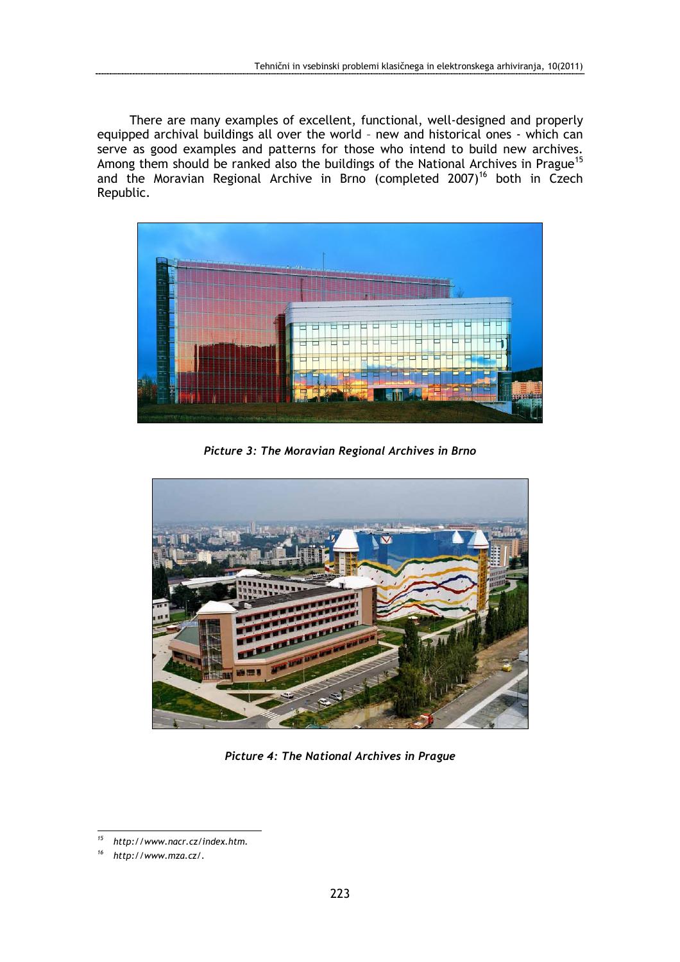There are many examples of excellent, functional, well-designed and properly equipped archival buildings all over the world – new and historical ones - which can serve as good examples and patterns for those who intend to build new archives. Among them should be ranked also the buildings of the National Archives in Prague<sup>15</sup> and the Moravian Regional Archive in Brno (completed 2007)<sup>16</sup> both in Czech Republic.



Picture 3: The Moravian Regional Archives in Brno



Picture 4: The National Archives in Prague

<sup>15</sup> http://www.nacr.cz/index.htm.

http://www.mza.cz/.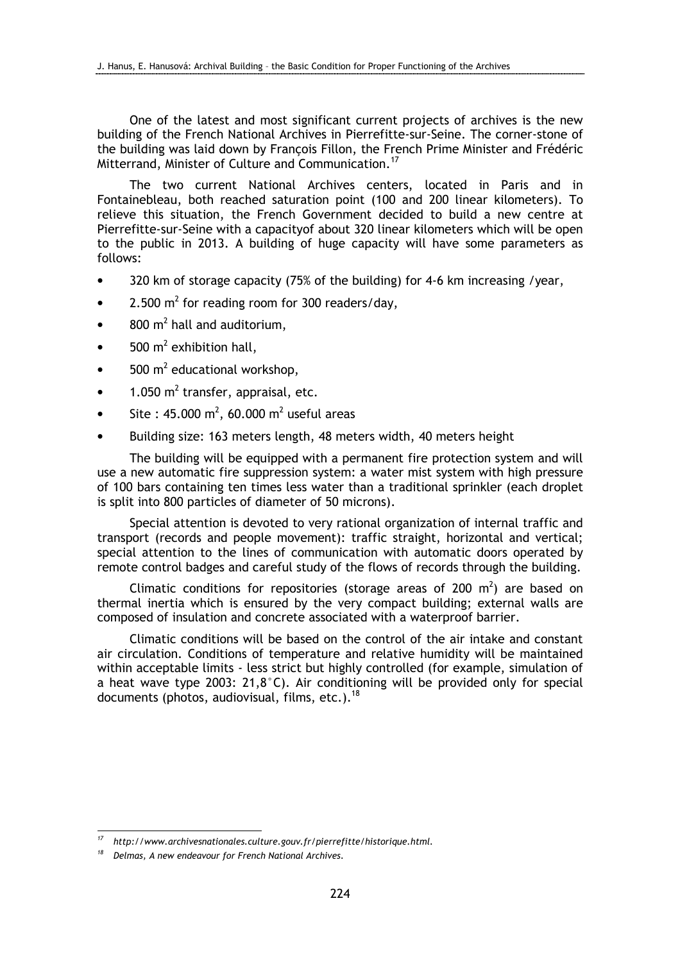One of the latest and most significant current projects of archives is the new building of the French National Archives in Pierrefitte-sur-Seine. The corner-stone of the building was laid down by François Fillon, the French Prime Minister and Frédéric Mitterrand, Minister of Culture and Communication.<sup>17</sup>

The two current National Archives centers, located in Paris and in Fontainebleau, both reached saturation point (100 and 200 linear kilometers). To relieve this situation, the French Government decided to build a new centre at Pierrefitte-sur-Seine with a capacityof about 320 linear kilometers which will be open to the public in 2013. A building of huge capacity will have some parameters as follows:

- 320 km of storage capacity (75% of the building) for 4-6 km increasing /year,
- 2.500  $m^2$  for reading room for 300 readers/day,
- $800 \text{ m}^2$  hall and auditorium,
- $500 \text{ m}^2$  exhibition hall,
- $500 \text{ m}^2$  educational workshop,
- $1.050 \text{ m}^2$  transfer, appraisal, etc.
- Site : 45.000 m<sup>2</sup>, 60.000 m<sup>2</sup> useful areas
- Building size: 163 meters length, 48 meters width, 40 meters height

The building will be equipped with a permanent fire protection system and will use a new automatic fire suppression system: a water mist system with high pressure of 100 bars containing ten times less water than a traditional sprinkler (each droplet is split into 800 particles of diameter of 50 microns).

Special attention is devoted to very rational organization of internal traffic and transport (records and people movement): traffic straight, horizontal and vertical; special attention to the lines of communication with automatic doors operated by remote control badges and careful study of the flows of records through the building.

Climatic conditions for repositories (storage areas of 200  $m^2$ ) are based on thermal inertia which is ensured by the very compact building; external walls are composed of insulation and concrete associated with a waterproof barrier.

Climatic conditions will be based on the control of the air intake and constant air circulation. Conditions of temperature and relative humidity will be maintained within acceptable limits - less strict but highly controlled (for example, simulation of a heat wave type 2003: 21,8°C). Air conditioning will be provided only for special documents (photos, audiovisual, films, etc.).<sup>18</sup>

<sup>17</sup> http://www.archivesnationales.culture.gouv.fr/pierrefitte/historique.html.

 $18$  Delmas, A new endeavour for French National Archives.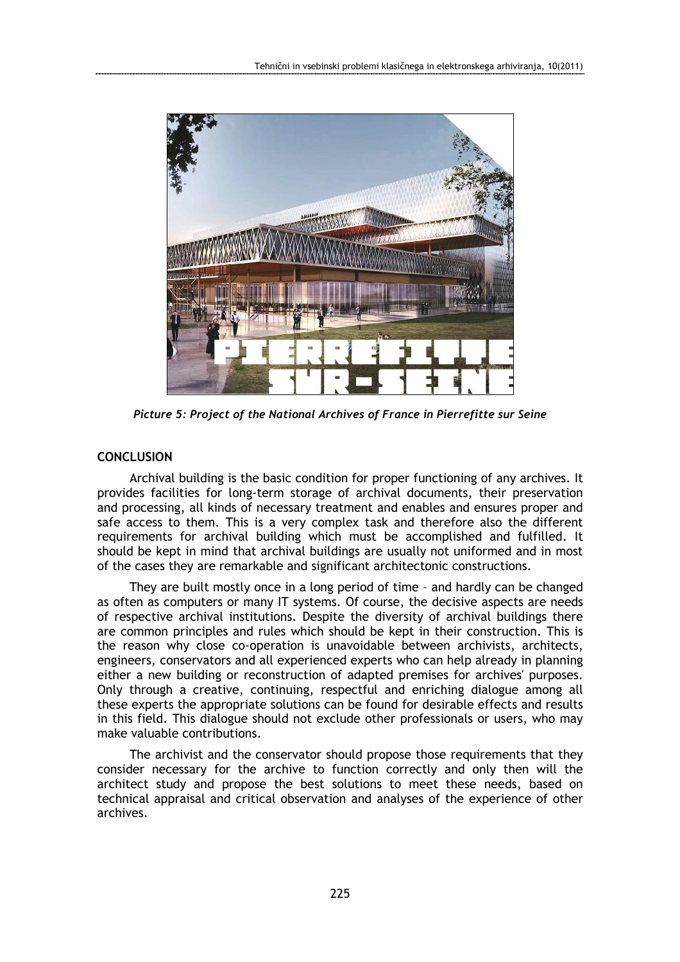

Picture 5: Project of the National Archives of France in Pierrefitte sur Seine

## **CONCLUSION**

Archival building is the basic condition for proper functioning of any archives. It provides facilities for long-term storage of archival documents, their preservation and processing, all kinds of necessary treatment and enables and ensures proper and safe access to them. This is a very complex task and therefore also the different requirements for archival building which must be accomplished and fulfilled. It should be kept in mind that archival buildings are usually not uniformed and in most of the cases they are remarkable and significant architectonic constructions.

They are built mostly once in a long period of time – and hardly can be changed as often as computers or many IT systems. Of course, the decisive aspects are needs of respective archival institutions. Despite the diversity of archival buildings there are common principles and rules which should be kept in their construction. This is the reason why close co-operation is unavoidable between archivists, architects, engineers, conservators and all experienced experts who can help already in planning either a new building or reconstruction of adapted premises for archives' purposes. Only through a creative, continuing, respectful and enriching dialogue among all these experts the appropriate solutions can be found for desirable effects and results in this field. This dialogue should not exclude other professionals or users, who may make valuable contributions.

The archivist and the conservator should propose those requirements that they consider necessary for the archive to function correctly and only then will the architect study and propose the best solutions to meet these needs, based on technical appraisal and critical observation and analyses of the experience of other archives.